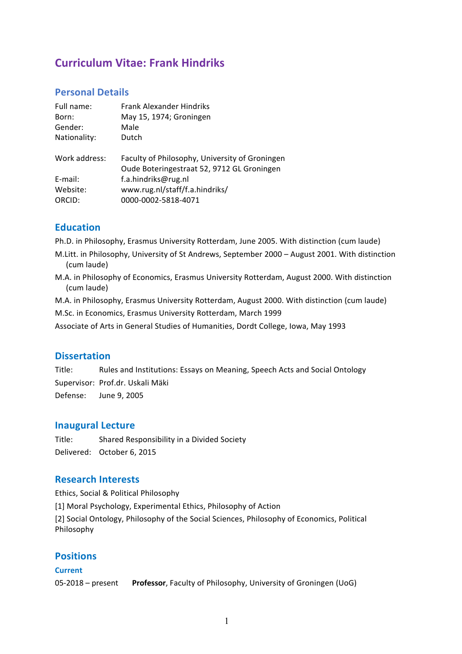# **Curriculum Vitae: Frank Hindriks**

## **Personal Details**

| Faculty of Philosophy, University of Groningen<br>Oude Boteringestraat 52, 9712 GL Groningen |
|----------------------------------------------------------------------------------------------|
|                                                                                              |
|                                                                                              |
|                                                                                              |
|                                                                                              |

## **Education**

Ph.D. in Philosophy, Erasmus University Rotterdam, June 2005. With distinction (cum laude)

M.Litt. in Philosophy, University of St Andrews, September 2000 – August 2001. With distinction (cum laude)

M.A. in Philosophy of Economics, Erasmus University Rotterdam, August 2000. With distinction (cum laude)

M.A. in Philosophy, Erasmus University Rotterdam, August 2000. With distinction (cum laude)

M.Sc. in Economics, Erasmus University Rotterdam, March 1999

Associate of Arts in General Studies of Humanities, Dordt College, Iowa, May 1993

# **Dissertation**

Title: Rules and Institutions: Essays on Meaning, Speech Acts and Social Ontology Supervisor: Prof.dr. Uskali Mäki Defense: June 9, 2005

## **Inaugural Lecture**

Title: Shared Responsibility in a Divided Society Delivered: October 6, 2015

## **Research Interests**

Ethics, Social & Political Philosophy [1] Moral Psychology, Experimental Ethics, Philosophy of Action [2] Social Ontology, Philosophy of the Social Sciences, Philosophy of Economics, Political Philosophy

# **Positions**

### **Current**

05-2018 – present **Professor**, Faculty of Philosophy, University of Groningen (UoG)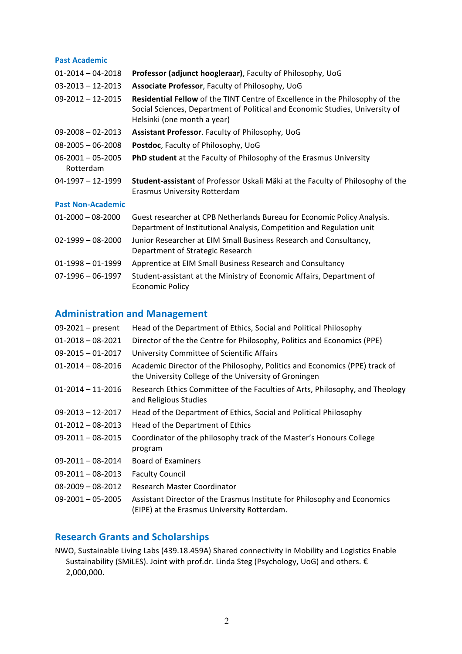#### **Past Academic**

| $01 - 2014 - 04 - 2018$              | Professor (adjunct hoogleraar), Faculty of Philosophy, UoG                                                                                                                                  |
|--------------------------------------|---------------------------------------------------------------------------------------------------------------------------------------------------------------------------------------------|
| $03 - 2013 - 12 - 2013$              | Associate Professor, Faculty of Philosophy, UoG                                                                                                                                             |
| $09 - 2012 - 12 - 2015$              | Residential Fellow of the TINT Centre of Excellence in the Philosophy of the<br>Social Sciences, Department of Political and Economic Studies, University of<br>Helsinki (one month a year) |
| $09 - 2008 - 02 - 2013$              | Assistant Professor. Faculty of Philosophy, UoG                                                                                                                                             |
| $08 - 2005 - 06 - 2008$              | Postdoc, Faculty of Philosophy, UoG                                                                                                                                                         |
| $06 - 2001 - 05 - 2005$<br>Rotterdam | <b>PhD student</b> at the Faculty of Philosophy of the Erasmus University                                                                                                                   |
| $04-1997-12-1999$                    | Student-assistant of Professor Uskali Mäki at the Faculty of Philosophy of the<br>Erasmus University Rotterdam                                                                              |
| <b>Past Non-Academic</b>             |                                                                                                                                                                                             |
| $01 - 2000 - 08 - 2000$              | Guest researcher at CPB Netherlands Bureau for Economic Policy Analysis.<br>Department of Institutional Analysis, Competition and Regulation unit                                           |
| $02 - 1999 - 08 - 2000$              | Junior Researcher at EIM Small Business Research and Consultancy,<br>Department of Strategic Research                                                                                       |
| $01-1998 - 01-1999$                  | Apprentice at EIM Small Business Research and Consultancy                                                                                                                                   |
| $07-1996 - 06-1997$                  | Student-assistant at the Ministry of Economic Affairs, Department of<br><b>Economic Policy</b>                                                                                              |

# **Administration and Management**

| $09-2021$ – present     | Head of the Department of Ethics, Social and Political Philosophy                                                                   |
|-------------------------|-------------------------------------------------------------------------------------------------------------------------------------|
| $01 - 2018 - 08 - 2021$ | Director of the the Centre for Philosophy, Politics and Economics (PPE)                                                             |
| $09 - 2015 - 01 - 2017$ | University Committee of Scientific Affairs                                                                                          |
| $01 - 2014 - 08 - 2016$ | Academic Director of the Philosophy, Politics and Economics (PPE) track of<br>the University College of the University of Groningen |
| $01 - 2014 - 11 - 2016$ | Research Ethics Committee of the Faculties of Arts, Philosophy, and Theology<br>and Religious Studies                               |
| $09 - 2013 - 12 - 2017$ | Head of the Department of Ethics, Social and Political Philosophy                                                                   |
| $01 - 2012 - 08 - 2013$ | Head of the Department of Ethics                                                                                                    |
| $09 - 2011 - 08 - 2015$ | Coordinator of the philosophy track of the Master's Honours College<br>program                                                      |
| $09 - 2011 - 08 - 2014$ | <b>Board of Examiners</b>                                                                                                           |
| $09 - 2011 - 08 - 2013$ | <b>Faculty Council</b>                                                                                                              |
| $08 - 2009 - 08 - 2012$ | Research Master Coordinator                                                                                                         |
| $09 - 2001 - 05 - 2005$ | Assistant Director of the Erasmus Institute for Philosophy and Economics<br>(EIPE) at the Erasmus University Rotterdam.             |

# **Research Grants and Scholarships**

NWO, Sustainable Living Labs (439.18.459A) Shared connectivity in Mobility and Logistics Enable Sustainability (SMiLES). Joint with prof.dr. Linda Steg (Psychology, UoG) and others. € 2,000,000.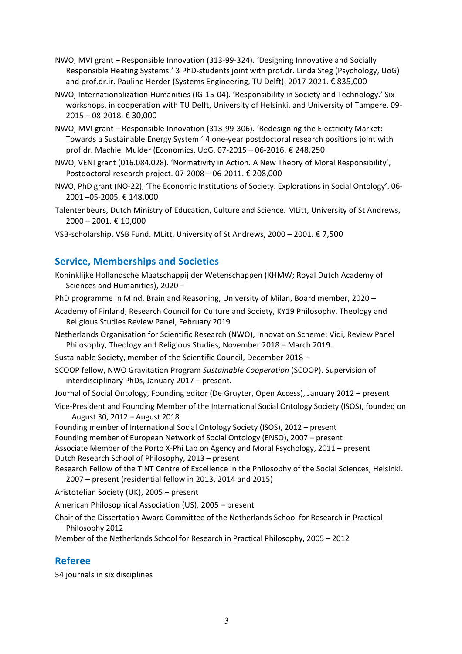- NWO, MVI grant Responsible Innovation (313-99-324). 'Designing Innovative and Socially Responsible Heating Systems.' 3 PhD-students joint with prof.dr. Linda Steg (Psychology, UoG) and prof.dr.ir. Pauline Herder (Systems Engineering, TU Delft). 2017-2021. € 835,000
- NWO, Internationalization Humanities (IG-15-04). 'Responsibility in Society and Technology.' Six workshops, in cooperation with TU Delft, University of Helsinki, and University of Tampere. 09- 2015 – 08-2018. € 30,000
- NWO, MVI grant Responsible Innovation (313-99-306). 'Redesigning the Electricity Market: Towards a Sustainable Energy System.' 4 one-year postdoctoral research positions joint with prof.dr. Machiel Mulder (Economics, UoG. 07-2015 – 06-2016. € 248,250
- NWO, VENI grant (016.084.028). 'Normativity in Action. A New Theory of Moral Responsibility', Postdoctoral research project. 07-2008 – 06-2011. € 208,000
- NWO, PhD grant (NO-22), 'The Economic Institutions of Society. Explorations in Social Ontology'. 06- 2001 –05-2005. € 148,000
- Talentenbeurs, Dutch Ministry of Education, Culture and Science. MLitt, University of St Andrews, 2000 – 2001. € 10,000
- VSB-scholarship, VSB Fund. MLitt, University of St Andrews, 2000 2001. € 7,500

## **Service, Memberships and Societies**

Koninklijke Hollandsche Maatschappij der Wetenschappen (KHMW; Royal Dutch Academy of Sciences and Humanities), 2020 –

PhD programme in Mind, Brain and Reasoning, University of Milan, Board member, 2020 –

- Academy of Finland, Research Council for Culture and Society, KY19 Philosophy, Theology and Religious Studies Review Panel, February 2019
- Netherlands Organisation for Scientific Research (NWO), Innovation Scheme: Vidi, Review Panel Philosophy, Theology and Religious Studies, November 2018 – March 2019.

Sustainable Society, member of the Scientific Council, December 2018 –

SCOOP fellow, NWO Gravitation Program *Sustainable Cooperation* (SCOOP). Supervision of interdisciplinary PhDs, January 2017 – present.

Journal of Social Ontology, Founding editor (De Gruyter, Open Access), January 2012 – present

Vice-President and Founding Member of the International Social Ontology Society (ISOS), founded on August 30, 2012 – August 2018

Founding member of International Social Ontology Society (ISOS), 2012 – present

- Founding member of European Network of Social Ontology (ENSO), 2007 present
- Associate Member of the Porto X-Phi Lab on Agency and Moral Psychology, 2011 present Dutch Research School of Philosophy, 2013 – present
- Research Fellow of the TINT Centre of Excellence in the Philosophy of the Social Sciences, Helsinki. 2007 – present (residential fellow in 2013, 2014 and 2015)

Aristotelian Society (UK), 2005 – present

American Philosophical Association (US), 2005 – present

- Chair of the Dissertation Award Committee of the Netherlands School for Research in Practical Philosophy 2012
- Member of the Netherlands School for Research in Practical Philosophy, 2005 2012

## **Referee**

54 journals in six disciplines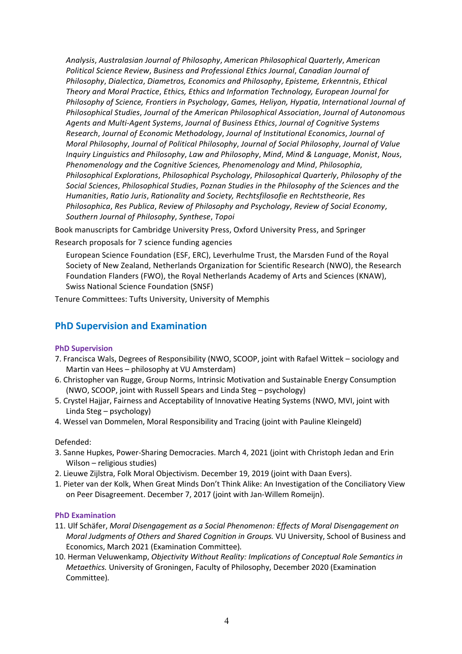*Analysis*, *Australasian Journal of Philosophy*, *American Philosophical Quarterly*, *American Political Science Review*, *Business and Professional Ethics Journal*, *Canadian Journal of Philosophy*, *Dialectica*, *Diametros, Economics and Philosophy*, *Episteme, Erkenntnis*, *Ethical Theory and Moral Practice*, *Ethics, Ethics and Information Technology, European Journal for Philosophy of Science, Frontiers in Psychology*, *Games, Heliyon, Hypatia*, *International Journal of Philosophical Studies*, *Journal of the American Philosophical Association*, *Journal of Autonomous Agents and Multi-Agent Systems*, *Journal of Business Ethics*, *Journal of Cognitive Systems Research*, *Journal of Economic Methodology*, *Journal of Institutional Economics*, *Journal of Moral Philosophy*, *Journal of Political Philosophy*, *Journal of Social Philosophy*, *Journal of Value Inquiry Linguistics and Philosophy*, *Law and Philosophy*, *Mind*, *Mind & Language*, *Monist*, *Nous*, *Phenomenology and the Cognitive Sciences, Phenomenology and Mind*, *Philosophia*, *Philosophical Explorations*, *Philosophical Psychology*, *Philosophical Quarterly*, *Philosophy of the Social Sciences*, *Philosophical Studies*, *Poznan Studies in the Philosophy of the Sciences and the Humanities*, *Ratio Juris*, *Rationality and Society, Rechtsfilosofie en Rechtstheorie*, *Res Philosophica*, *Res Publica*, *Review of Philosophy and Psychology*, *Review of Social Economy*, *Southern Journal of Philosophy*, *Synthese*, *Topoi*

Book manuscripts for Cambridge University Press, Oxford University Press, and Springer

Research proposals for 7 science funding agencies

European Science Foundation (ESF, ERC), Leverhulme Trust, the Marsden Fund of the Royal Society of New Zealand, Netherlands Organization for Scientific Research (NWO), the Research Foundation Flanders (FWO), the Royal Netherlands Academy of Arts and Sciences (KNAW), Swiss National Science Foundation (SNSF)

Tenure Committees: Tufts University, University of Memphis

# **PhD Supervision and Examination**

#### **PhD Supervision**

- 7. Francisca Wals, Degrees of Responsibility (NWO, SCOOP, joint with Rafael Wittek sociology and Martin van Hees – philosophy at VU Amsterdam)
- 6. Christopher van Rugge, Group Norms, Intrinsic Motivation and Sustainable Energy Consumption (NWO, SCOOP, joint with Russell Spears and Linda Steg – psychology)
- 5. Crystel Hajjar, Fairness and Acceptability of Innovative Heating Systems (NWO, MVI, joint with Linda Steg – psychology)
- 4. Wessel van Dommelen, Moral Responsibility and Tracing (joint with Pauline Kleingeld)

#### Defended:

- 3. Sanne Hupkes, Power-Sharing Democracies. March 4, 2021 (joint with Christoph Jedan and Erin Wilson – religious studies)
- 2. Lieuwe Zijlstra, Folk Moral Objectivism. December 19, 2019 (joint with Daan Evers).
- 1. Pieter van der Kolk, When Great Minds Don't Think Alike: An Investigation of the Conciliatory View on Peer Disagreement. December 7, 2017 (joint with Jan-Willem Romeijn).

#### **PhD Examination**

- 11. Ulf Schäfer, *Moral Disengagement as a Social Phenomenon: Effects of Moral Disengagement on Moral Judgments of Others and Shared Cognition in Groups.* VU University, School of Business and Economics, March 2021 (Examination Committee)*.*
- 10. Herman Veluwenkamp, *Objectivity Without Reality: Implications of Conceptual Role Semantics in Metaethics.* University of Groningen, Faculty of Philosophy, December 2020 (Examination Committee)*.*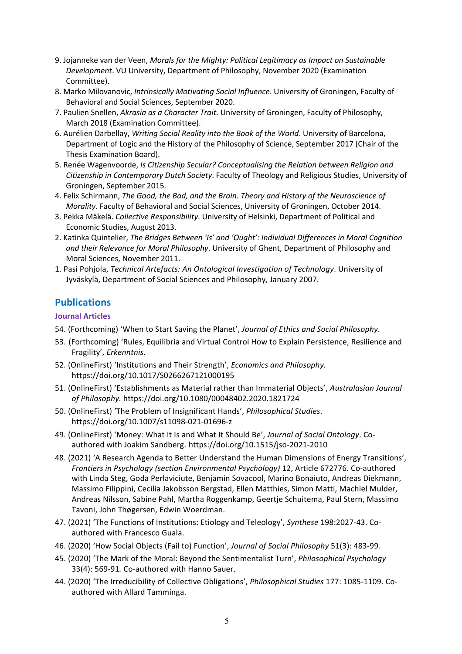- 9. Jojanneke van der Veen, *Morals for the Mighty: Political Legitimacy as Impact on Sustainable Development*. VU University, Department of Philosophy, November 2020 (Examination Committee).
- 8. Marko Milovanovic, *Intrinsically Motivating Social Influence*. University of Groningen, Faculty of Behavioral and Social Sciences, September 2020.
- 7. Paulien Snellen, *Akrasia as a Character Trait*. University of Groningen, Faculty of Philosophy, March 2018 (Examination Committee).
- 6. Aurélien Darbellay, *Writing Social Reality into the Book of the World*. University of Barcelona, Department of Logic and the History of the Philosophy of Science, September 2017 (Chair of the Thesis Examination Board).
- 5. Renée Wagenvoorde, *Is Citizenship Secular? Conceptualising the Relation between Religion and Citizenship in Contemporary Dutch Society*. Faculty of Theology and Religious Studies, University of Groningen, September 2015.
- 4. Felix Schirmann, *The Good, the Bad, and the Brain. Theory and History of the Neuroscience of Morality*. Faculty of Behavioral and Social Sciences, University of Groningen, October 2014.
- 3. Pekka Mäkelä. *Collective Responsibility*. University of Helsinki, Department of Political and Economic Studies, August 2013.
- 2. Katinka Quintelier, *The Bridges Between 'Is' and 'Ought': Individual Differences in Moral Cognition and their Relevance for Moral Philosophy*. University of Ghent, Department of Philosophy and Moral Sciences, November 2011.
- 1. Pasi Pohjola, *Technical Artefacts: An Ontological Investigation of Technology*. University of Jyväskylä, Department of Social Sciences and Philosophy, January 2007.

# **Publications**

#### **Journal Articles**

- 54. (Forthcoming) 'When to Start Saving the Planet', *Journal of Ethics and Social Philosophy*.
- 53. (Forthcoming) 'Rules, Equilibria and Virtual Control How to Explain Persistence, Resilience and Fragility', *Erkenntnis*.
- 52. (OnlineFirst) 'Institutions and Their Strength', *Economics and Philosophy.* https://doi.org/10.1017/S0266267121000195
- 51. (OnlineFirst) 'Establishments as Material rather than Immaterial Objects', *Australasian Journal of Philosophy.* https://doi.org/10.1080/00048402.2020.1821724
- 50. (OnlineFirst) 'The Problem of Insignificant Hands', *Philosophical Studies*. https://doi.org/10.1007/s11098-021-01696-z
- 49. (OnlineFirst) 'Money: What It Is and What It Should Be', *Journal of Social Ontology*. Coauthored with Joakim Sandberg. https://doi.org/10.1515/jso-2021-2010
- 48. (2021) 'A Research Agenda to Better Understand the Human Dimensions of Energy Transitions', *Frontiers in Psychology (section Environmental Psychology)* 12, Article 672776. Co-authored with Linda Steg, Goda Perlaviciute, Benjamin Sovacool, Marino Bonaiuto, Andreas Diekmann, Massimo Filippini, Cecilia Jakobsson Bergstad, Ellen Matthies, Simon Matti, Machiel Mulder, Andreas Nilsson, Sabine Pahl, Martha Roggenkamp, Geertje Schuitema, Paul Stern, Massimo Tavoni, John Thøgersen, Edwin Woerdman.
- 47. (2021) 'The Functions of Institutions: Etiology and Teleology', *Synthese* 198:2027-43. Coauthored with Francesco Guala.
- 46. (2020) 'How Social Objects (Fail to) Function', *Journal of Social Philosophy* 51(3): 483-99*.*
- 45. (2020) 'The Mark of the Moral: Beyond the Sentimentalist Turn', *Philosophical Psychology*  33(4): 569-91*.* Co-authored with Hanno Sauer.
- 44. (2020) 'The Irreducibility of Collective Obligations', *Philosophical Studies* 177: 1085-1109. Coauthored with Allard Tamminga.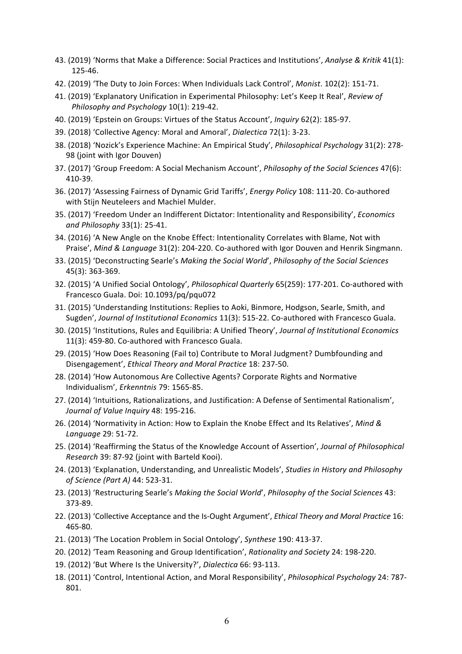- 43. (2019) 'Norms that Make a Difference: Social Practices and Institutions', *Analyse & Kritik* 41(1): 125-46.
- 42. (2019) 'The Duty to Join Forces: When Individuals Lack Control', *Monist*. 102(2): 151-71.
- 41. (2019) 'Explanatory Unification in Experimental Philosophy: Let's Keep It Real', *Review of Philosophy and Psychology* 10(1): 219-42.
- 40. (2019) 'Epstein on Groups: Virtues of the Status Account', *Inquiry* 62(2): 185-97.
- 39. (2018) 'Collective Agency: Moral and Amoral', *Dialectica* 72(1): 3-23.
- 38. (2018) 'Nozick's Experience Machine: An Empirical Study', *Philosophical Psychology* 31(2): 278- 98 (joint with Igor Douven)
- 37. (2017) 'Group Freedom: A Social Mechanism Account', *Philosophy of the Social Sciences* 47(6): 410-39.
- 36. (2017) 'Assessing Fairness of Dynamic Grid Tariffs', *Energy Policy* 108: 111-20. Co-authored with Stijn Neuteleers and Machiel Mulder.
- 35. (2017) 'Freedom Under an Indifferent Dictator: Intentionality and Responsibility', *Economics and Philosophy* 33(1): 25-41.
- 34. (2016) 'A New Angle on the Knobe Effect: Intentionality Correlates with Blame, Not with Praise', *Mind & Language* 31(2): 204-220. Co-authored with Igor Douven and Henrik Singmann.
- 33. (2015) 'Deconstructing Searle's *Making the Social World*', *Philosophy of the Social Sciences* 45(3): 363-369.
- 32. (2015) 'A Unified Social Ontology', *Philosophical Quarterly* 65(259): 177-201. Co-authored with Francesco Guala. Doi: 10.1093/pq/pqu072
- 31. (2015) 'Understanding Institutions: Replies to Aoki, Binmore, Hodgson, Searle, Smith, and Sugden', *Journal of Institutional Economics* 11(3): 515-22. Co-authored with Francesco Guala.
- 30. (2015) 'Institutions, Rules and Equilibria: A Unified Theory', *Journal of Institutional Economics*  11(3): 459-80. Co-authored with Francesco Guala.
- 29. (2015) 'How Does Reasoning (Fail to) Contribute to Moral Judgment? Dumbfounding and Disengagement', *Ethical Theory and Moral Practice* 18: 237-50.
- 28. (2014) 'How Autonomous Are Collective Agents? Corporate Rights and Normative Individualism', *Erkenntnis* 79: 1565-85.
- 27. (2014) 'Intuitions, Rationalizations, and Justification: A Defense of Sentimental Rationalism', *Journal of Value Inquiry* 48: 195-216.
- 26. (2014) 'Normativity in Action: How to Explain the Knobe Effect and Its Relatives', *Mind & Language* 29: 51-72.
- 25. (2014) 'Reaffirming the Status of the Knowledge Account of Assertion', *Journal of Philosophical Research* 39: 87-92 (joint with Barteld Kooi).
- 24. (2013) 'Explanation, Understanding, and Unrealistic Models', *Studies in History and Philosophy of Science (Part A)* 44: 523-31.
- 23. (2013) 'Restructuring Searle's *Making the Social World*', *Philosophy of the Social Sciences* 43: 373-89.
- 22. (2013) 'Collective Acceptance and the Is-Ought Argument', *Ethical Theory and Moral Practice* 16: 465-80.
- 21. (2013) 'The Location Problem in Social Ontology', *Synthese* 190: 413-37.
- 20. (2012) 'Team Reasoning and Group Identification', *Rationality and Society* 24: 198-220.
- 19. (2012) 'But Where Is the University?', *Dialectica* 66: 93-113.
- 18. (2011) 'Control, Intentional Action, and Moral Responsibility', *Philosophical Psychology* 24: 787- 801.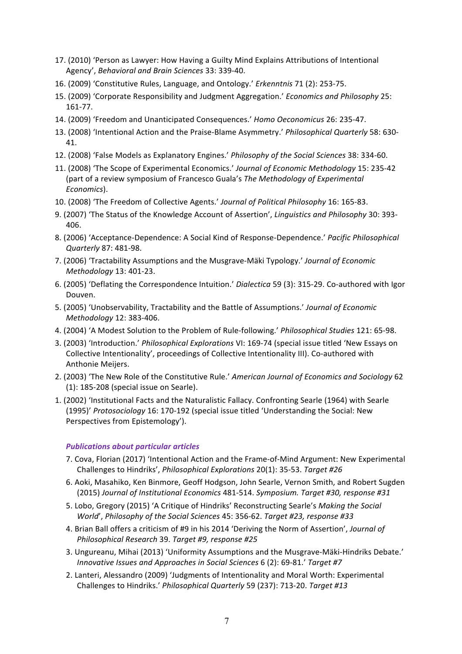- 17. (2010) 'Person as Lawyer: How Having a Guilty Mind Explains Attributions of Intentional Agency', *Behavioral and Brain Sciences* 33: 339-40.
- 16. (2009) 'Constitutive Rules, Language, and Ontology.' *Erkenntnis* 71 (2): 253-75.
- 15. (2009) 'Corporate Responsibility and Judgment Aggregation.' *Economics and Philosophy* 25: 161-77.
- 14. (2009) 'Freedom and Unanticipated Consequences.' *Homo Oeconomicus* 26: 235-47.
- 13. (2008) 'Intentional Action and the Praise-Blame Asymmetry.' *Philosophical Quarterly* 58: 630- 41.
- 12. (2008) 'False Models as Explanatory Engines.' *Philosophy of the Social Sciences* 38: 334-60.
- 11. (2008) 'The Scope of Experimental Economics.' *Journal of Economic Methodology* 15: 235-42 (part of a review symposium of Francesco Guala's *The Methodology of Experimental Economics*).
- 10. (2008) 'The Freedom of Collective Agents.' *Journal of Political Philosophy* 16: 165-83.
- 9. (2007) 'The Status of the Knowledge Account of Assertion', *Linguistics and Philosophy* 30: 393- 406.
- 8. (2006) 'Acceptance-Dependence: A Social Kind of Response-Dependence.' *Pacific Philosophical Quarterly* 87: 481-98.
- 7. (2006) 'Tractability Assumptions and the Musgrave-Mäki Typology.' *Journal of Economic Methodology* 13: 401-23.
- 6. (2005) 'Deflating the Correspondence Intuition.' *Dialectica* 59 (3): 315-29. Co-authored with Igor Douven.
- 5. (2005) 'Unobservability, Tractability and the Battle of Assumptions.' *Journal of Economic Methodology* 12: 383-406.
- 4. (2004) 'A Modest Solution to the Problem of Rule-following.' *Philosophical Studies* 121: 65-98.
- 3. (2003) 'Introduction.' *Philosophical Explorations* VI: 169-74 (special issue titled 'New Essays on Collective Intentionality', proceedings of Collective Intentionality III). Co-authored with Anthonie Meijers.
- 2. (2003) 'The New Role of the Constitutive Rule.' *American Journal of Economics and Sociology* 62 (1): 185-208 (special issue on Searle).
- 1. (2002) 'Institutional Facts and the Naturalistic Fallacy. Confronting Searle (1964) with Searle (1995)' *Protosociology* 16: 170-192 (special issue titled 'Understanding the Social: New Perspectives from Epistemology').

#### *Publications about particular articles*

- 7. Cova, Florian (2017) 'Intentional Action and the Frame-of-Mind Argument: New Experimental Challenges to Hindriks', *Philosophical Explorations* 20(1): 35-53. *Target #26*
- 6. Aoki, Masahiko, Ken Binmore, Geoff Hodgson, John Searle, Vernon Smith, and Robert Sugden (2015) *Journal of Institutional Economics* 481-514. *Symposium. Target #30, response #31*
- 5. Lobo, Gregory (2015) 'A Critique of Hindriks' Reconstructing Searle's *Making the Social World*', *Philosophy of the Social Sciences* 45: 356-62. *Target #23, response #33*
- 4. Brian Ball offers a criticism of #9 in his 2014 'Deriving the Norm of Assertion', *Journal of Philosophical Research* 39. *Target #9, response #25*
- 3. Ungureanu, Mihai (2013) 'Uniformity Assumptions and the Musgrave-Mäki-Hindriks Debate.' *Innovative Issues and Approaches in Social Sciences* 6 (2): 69-81.' *Target #7*
- 2. Lanteri, Alessandro (2009) 'Judgments of Intentionality and Moral Worth: Experimental Challenges to Hindriks.' *Philosophical Quarterly* 59 (237): 713-20. *Target #13*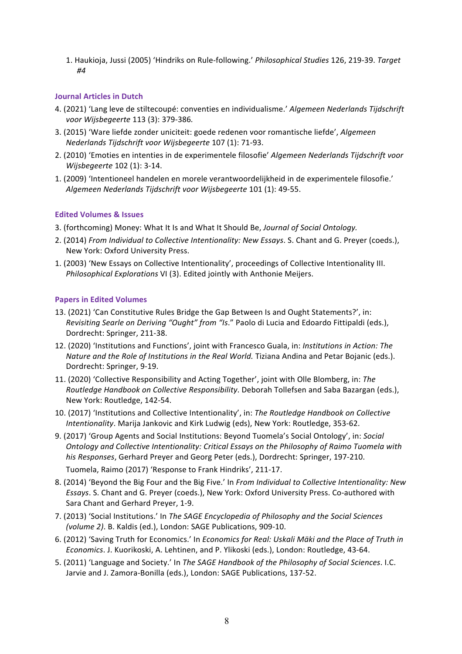1. Haukioja, Jussi (2005) 'Hindriks on Rule-following.' *Philosophical Studies* 126, 219-39. *Target #4*

#### **Journal Articles in Dutch**

- 4. (2021) 'Lang leve de stiltecoupé: conventies en individualisme.' *Algemeen Nederlands Tijdschrift voor Wijsbegeerte* 113 (3): 379-386*.*
- 3. (2015) 'Ware liefde zonder uniciteit: goede redenen voor romantische liefde', *Algemeen Nederlands Tijdschrift voor Wijsbegeerte* 107 (1): 71-93.
- 2. (2010) 'Emoties en intenties in de experimentele filosofie' *Algemeen Nederlands Tijdschrift voor Wijsbegeerte* 102 (1): 3-14.
- 1. (2009) 'Intentioneel handelen en morele verantwoordelijkheid in de experimentele filosofie.' *Algemeen Nederlands Tijdschrift voor Wijsbegeerte* 101 (1): 49-55.

#### **Edited Volumes & Issues**

- 3. (forthcoming) Money: What It Is and What It Should Be, *Journal of Social Ontology.*
- 2. (2014) *From Individual to Collective Intentionality: New Essays*. S. Chant and G. Preyer (coeds.), New York: Oxford University Press.
- 1. (2003) 'New Essays on Collective Intentionality', proceedings of Collective Intentionality III. *Philosophical Explorations* VI (3). Edited jointly with Anthonie Meijers.

#### **Papers in Edited Volumes**

- 13. (2021) 'Can Constitutive Rules Bridge the Gap Between Is and Ought Statements?', in: *Revisiting Searle on Deriving "Ought" from "Is*." Paolo di Lucia and Edoardo Fittipaldi (eds.), Dordrecht: Springer, 211-38.
- 12. (2020) 'Institutions and Functions', joint with Francesco Guala, in: *Institutions in Action: The Nature and the Role of Institutions in the Real World.* Tiziana Andina and Petar Bojanic (eds.). Dordrecht: Springer, 9-19.
- 11. (2020) 'Collective Responsibility and Acting Together', joint with Olle Blomberg, in: *The Routledge Handbook on Collective Responsibility*. Deborah Tollefsen and Saba Bazargan (eds.), New York: Routledge, 142-54.
- 10. (2017) 'Institutions and Collective Intentionality', in: *The Routledge Handbook on Collective Intentionality*. Marija Jankovic and Kirk Ludwig (eds), New York: Routledge, 353-62.
- 9. (2017) 'Group Agents and Social Institutions: Beyond Tuomela's Social Ontology', in: *Social Ontology and Collective Intentionality: Critical Essays on the Philosophy of Raimo Tuomela with his Responses*, Gerhard Preyer and Georg Peter (eds.), Dordrecht: Springer, 197-210.
- Tuomela, Raimo (2017) 'Response to Frank Hindriks', 211-17. 8. (2014) 'Beyond the Big Four and the Big Five.' In *From Individual to Collective Intentionality: New*
- *Essays*. S. Chant and G. Preyer (coeds.), New York: Oxford University Press. Co-authored with Sara Chant and Gerhard Preyer, 1-9.
- 7. (2013) 'Social Institutions.' In *The SAGE Encyclopedia of Philosophy and the Social Sciences (volume 2)*. B. Kaldis (ed.), London: SAGE Publications, 909-10.
- 6. (2012) 'Saving Truth for Economics.' In *Economics for Real: Uskali Mäki and the Place of Truth in Economics*. J. Kuorikoski, A. Lehtinen, and P. Ylikoski (eds.), London: Routledge, 43-64.
- 5. (2011) 'Language and Society.' In *The SAGE Handbook of the Philosophy of Social Sciences*. I.C. Jarvie and J. Zamora-Bonilla (eds.), London: SAGE Publications, 137-52.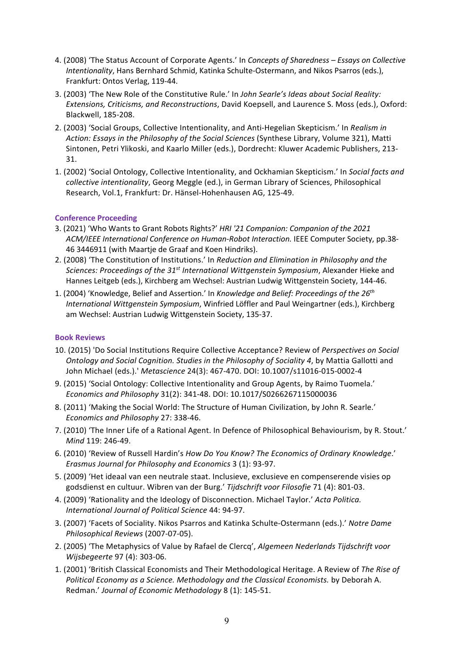- 4. (2008) 'The Status Account of Corporate Agents.' In *Concepts of Sharedness – Essays on Collective Intentionality*, Hans Bernhard Schmid, Katinka Schulte-Ostermann, and Nikos Psarros (eds.), Frankfurt: Ontos Verlag, 119-44.
- 3. (2003) 'The New Role of the Constitutive Rule.' In *John Searle's Ideas about Social Reality: Extensions, Criticisms, and Reconstructions*, David Koepsell, and Laurence S. Moss (eds.), Oxford: Blackwell, 185-208.
- 2. (2003) 'Social Groups, Collective Intentionality, and Anti-Hegelian Skepticism.' In *Realism in Action: Essays in the Philosophy of the Social Sciences* (Synthese Library, Volume 321), Matti Sintonen, Petri Ylikoski, and Kaarlo Miller (eds.), Dordrecht: Kluwer Academic Publishers, 213- 31.
- 1. (2002) 'Social Ontology, Collective Intentionality, and Ockhamian Skepticism.' In *Social facts and collective intentionality*, Georg Meggle (ed.), in German Library of Sciences, Philosophical Research, Vol.1, Frankfurt: Dr. Hänsel-Hohenhausen AG, 125-49.

#### **Conference Proceeding**

- 3. (2021) 'Who Wants to Grant Robots Rights?' *HRI '21 Companion: Companion of the 2021 ACM/IEEE International Conference on Human-Robot Interaction.* IEEE Computer Society, pp.38- 46 3446911 (with Maartje de Graaf and Koen Hindriks).
- 2. (2008) 'The Constitution of Institutions.' In *Reduction and Elimination in Philosophy and the Sciences: Proceedings of the 31st International Wittgenstein Symposium*, Alexander Hieke and Hannes Leitgeb (eds.), Kirchberg am Wechsel: Austrian Ludwig Wittgenstein Society, 144-46.
- 1. (2004) 'Knowledge, Belief and Assertion.' In *Knowledge and Belief: Proceedings of the 26th International Wittgenstein Symposium*, Winfried Löffler and Paul Weingartner (eds.), Kirchberg am Wechsel: Austrian Ludwig Wittgenstein Society, 135-37.

#### **Book Reviews**

- 10. (2015) 'Do Social Institutions Require Collective Acceptance? Review of *Perspectives on Social Ontology and Social Cognition. Studies in the Philosophy of Sociality 4*, by Mattia Gallotti and John Michael (eds.).' *Metascience* 24(3): 467-470. DOI: 10.1007/s11016-015-0002-4
- 9. (2015) 'Social Ontology: Collective Intentionality and Group Agents, by Raimo Tuomela.' *Economics and Philosophy* 31(2): 341-48. DOI: 10.1017/S0266267115000036
- 8. (2011) 'Making the Social World: The Structure of Human Civilization, by John R. Searle.' *Economics and Philosophy* 27: 338-46.
- 7. (2010) 'The Inner Life of a Rational Agent. In Defence of Philosophical Behaviourism, by R. Stout.' *Mind* 119: 246-49.
- 6. (2010) 'Review of Russell Hardin's *How Do You Know? The Economics of Ordinary Knowledge*.' *Erasmus Journal for Philosophy and Economics* 3 (1): 93-97.
- 5. (2009) 'Het ideaal van een neutrale staat. Inclusieve, exclusieve en compenserende visies op godsdienst en cultuur. Wibren van der Burg.' *Tijdschrift voor Filosofie* 71 (4): 801-03.
- 4. (2009) 'Rationality and the Ideology of Disconnection. Michael Taylor.' *Acta Politica. International Journal of Political Science* 44: 94-97.
- 3. (2007) 'Facets of Sociality. Nikos Psarros and Katinka Schulte-Ostermann (eds.).' *Notre Dame Philosophical Reviews* (2007-07-05).
- 2. (2005) 'The Metaphysics of Value by Rafael de Clercq', *Algemeen Nederlands Tijdschrift voor Wijsbegeerte* 97 (4): 303-06.
- 1. (2001) 'British Classical Economists and Their Methodological Heritage. A Review of *The Rise of Political Economy as a Science. Methodology and the Classical Economists.* by Deborah A. Redman.' *Journal of Economic Methodology* 8 (1): 145-51.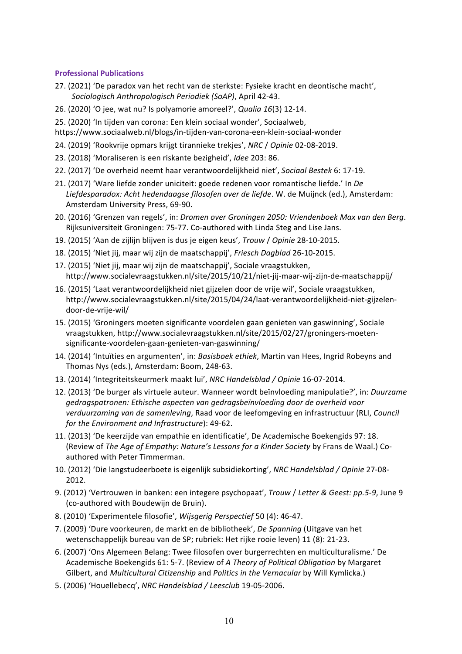#### **Professional Publications**

- 27. (2021) 'De paradox van het recht van de sterkste: Fysieke kracht en deontische macht', *Sociologisch Anthropologisch Periodiek (SoAP)*, April 42-43.
- 26. (2020) 'O jee, wat nu? Is polyamorie amoreel?', *Qualia 16*(3) 12-14.
- 25. (2020) 'In tijden van corona: Een klein sociaal wonder', Sociaalweb,
- https://www.sociaalweb.nl/blogs/in-tijden-van-corona-een-klein-sociaal-wonder
- 24. (2019) 'Rookvrije opmars krijgt tirannieke trekjes', *NRC* / *Opinie* 02-08-2019.
- 23. (2018) 'Moraliseren is een riskante bezigheid', *Idee* 203: 86.
- 22. (2017) 'De overheid neemt haar verantwoordelijkheid niet', *Sociaal Bestek* 6: 17-19.
- 21. (2017) 'Ware liefde zonder uniciteit: goede redenen voor romantische liefde.' In *De Liefdesparadox: Acht hedendaagse filosofen over de liefde*. W. de Muijnck (ed.), Amsterdam: Amsterdam University Press, 69-90.
- 20. (2016) 'Grenzen van regels', in: *Dromen over Groningen 2050: Vriendenboek Max van den Berg*. Rijksuniversiteit Groningen: 75-77. Co-authored with Linda Steg and Lise Jans.
- 19. (2015) 'Aan de zijlijn blijven is dus je eigen keus', *Trouw* / *Opinie* 28-10-2015.
- 18. (2015) 'Niet jij, maar wij zijn de maatschappij', *Friesch Dagblad* 26-10-2015.
- 17. (2015) 'Niet jij, maar wij zijn de maatschappij', Sociale vraagstukken, http://www.socialevraagstukken.nl/site/2015/10/21/niet-jij-maar-wij-zijn-de-maatschappij/
- 16. (2015) 'Laat verantwoordelijkheid niet gijzelen door de vrije wil', Sociale vraagstukken, http://www.socialevraagstukken.nl/site/2015/04/24/laat-verantwoordelijkheid-niet-gijzelendoor-de-vrije-wil/
- 15. (2015) 'Groningers moeten significante voordelen gaan genieten van gaswinning', Sociale vraagstukken, http://www.socialevraagstukken.nl/site/2015/02/27/groningers-moetensignificante-voordelen-gaan-genieten-van-gaswinning/
- 14. (2014) 'Intuïties en argumenten', in: *Basisboek ethiek*, Martin van Hees, Ingrid Robeyns and Thomas Nys (eds.), Amsterdam: Boom, 248-63.
- 13. (2014) 'Integriteitskeurmerk maakt lui', *NRC Handelsblad / Opinie* 16-07-2014.
- 12. (2013) 'De burger als virtuele auteur. Wanneer wordt beïnvloeding manipulatie?', in: *Duurzame gedragspatronen: Ethische aspecten van gedragsbeïnvloeding door de overheid voor verduurzaming van de samenleving*, Raad voor de leefomgeving en infrastructuur (RLI, *Council for the Environment and Infrastructure*): 49-62.
- 11. (2013) 'De keerzijde van empathie en identificatie', De Academische Boekengids 97: 18. (Review of *The Age of Empathy: Nature's Lessons for a Kinder Society* by Frans de Waal.) Coauthored with Peter Timmerman.
- 10. (2012) 'Die langstudeerboete is eigenlijk subsidiekorting', *NRC Handelsblad / Opinie* 27-08- 2012.
- 9. (2012) 'Vertrouwen in banken: een integere psychopaat', *Trouw* / *Letter & Geest: pp.5-9*, June 9 (co-authored with Boudewijn de Bruin).
- 8. (2010) 'Experimentele filosofie', *Wijsgerig Perspectief* 50 (4): 46-47.
- 7. (2009) 'Dure voorkeuren, de markt en de bibliotheek', *De Spanning* (Uitgave van het wetenschappelijk bureau van de SP; rubriek: Het rijke rooie leven) 11 (8): 21-23.
- 6. (2007) 'Ons Algemeen Belang: Twee filosofen over burgerrechten en multiculturalisme.' De Academische Boekengids 61: 5-7. (Review of *A Theory of Political Obligation* by Margaret Gilbert, and *Multicultural Citizenship* and *Politics in the Vernacular* by Will Kymlicka.)
- 5. (2006) 'Houellebecq', *NRC Handelsblad / Leesclub* 19-05-2006.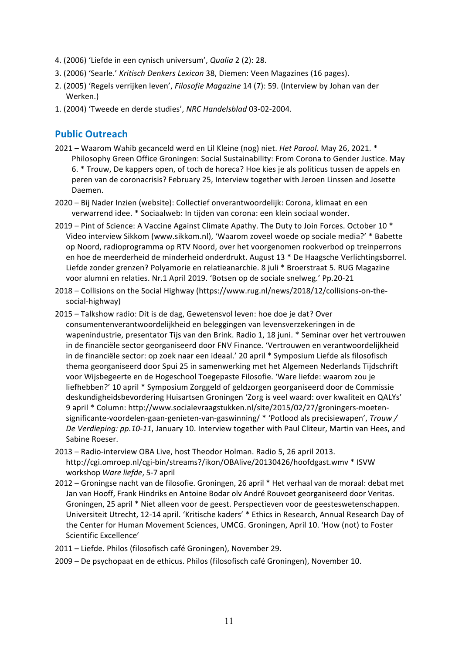- 4. (2006) 'Liefde in een cynisch universum', *Qualia* 2 (2): 28.
- 3. (2006) 'Searle.' *Kritisch Denkers Lexicon* 38, Diemen: Veen Magazines (16 pages).
- 2. (2005) 'Regels verrijken leven', *Filosofie Magazine* 14 (7): 59. (Interview by Johan van der Werken.)
- 1. (2004) 'Tweede en derde studies', *NRC Handelsblad* 03-02-2004.

## **Public Outreach**

- 2021 Waarom Wahib gecanceld werd en Lil Kleine (nog) niet. *Het Parool.* May 26, 2021. \* Philosophy Green Office Groningen: Social Sustainability: From Corona to Gender Justice. May 6. \* Trouw, De kappers open, of toch de horeca? Hoe kies je als politicus tussen de appels en peren van de coronacrisis? February 25, Interview together with Jeroen Linssen and Josette Daemen.
- 2020 Bij Nader Inzien (website): Collectief onverantwoordelijk: Corona, klimaat en een verwarrend idee. \* Sociaalweb: In tijden van corona: een klein sociaal wonder.
- 2019 Pint of Science: A Vaccine Against Climate Apathy. The Duty to Join Forces. October 10 \* Video interview Sikkom (www.sikkom.nl), 'Waarom zoveel woede op sociale media?' \* Babette op Noord, radioprogramma op RTV Noord, over het voorgenomen rookverbod op treinperrons en hoe de meerderheid de minderheid onderdrukt. August 13 \* De Haagsche Verlichtingsborrel. Liefde zonder grenzen? Polyamorie en relatieanarchie. 8 juli \* Broerstraat 5. RUG Magazine voor alumni en relaties. Nr.1 April 2019. 'Botsen op de sociale snelweg.' Pp.20-21
- 2018 Collisions on the Social Highway (https://www.rug.nl/news/2018/12/collisions-on-thesocial-highway)
- 2015 Talkshow radio: Dit is de dag, Gewetensvol leven: hoe doe je dat? Over consumentenverantwoordelijkheid en beleggingen van levensverzekeringen in de wapenindustrie, presentator Tijs van den Brink. Radio 1, 18 juni. \* Seminar over het vertrouwen in de financiële sector georganiseerd door FNV Finance. 'Vertrouwen en verantwoordelijkheid in de financiële sector: op zoek naar een ideaal.' 20 april \* Symposium Liefde als filosofisch thema georganiseerd door Spui 25 in samenwerking met het Algemeen Nederlands Tijdschrift voor Wijsbegeerte en de Hogeschool Toegepaste Filosofie. 'Ware liefde: waarom zou je liefhebben?' 10 april \* Symposium Zorggeld of geldzorgen georganiseerd door de Commissie deskundigheidsbevordering Huisartsen Groningen 'Zorg is veel waard: over kwaliteit en QALYs' 9 april \* Column: http://www.socialevraagstukken.nl/site/2015/02/27/groningers-moetensignificante-voordelen-gaan-genieten-van-gaswinning/ \* 'Potlood als precisiewapen', *Trouw / De Verdieping: pp.10-11*, January 10. Interview together with Paul Cliteur, Martin van Hees, and Sabine Roeser.
- 2013 Radio-interview OBA Live, host Theodor Holman. Radio 5, 26 april 2013. http://cgi.omroep.nl/cgi-bin/streams?/ikon/OBAlive/20130426/hoofdgast.wmv \* ISVW workshop *Ware liefde*, 5-7 april
- 2012 Groningse nacht van de filosofie. Groningen, 26 april \* Het verhaal van de moraal: debat met Jan van Hooff, Frank Hindriks en Antoine Bodar olv André Rouvoet georganiseerd door Veritas. Groningen, 25 april \* Niet alleen voor de geest. Perspectieven voor de geesteswetenschappen. Universiteit Utrecht, 12-14 april. 'Kritische kaders' \* Ethics in Research, Annual Research Day of the Center for Human Movement Sciences, UMCG. Groningen, April 10. 'How (not) to Foster Scientific Excellence'
- 2011 Liefde. Philos (filosofisch café Groningen), November 29.
- 2009 De psychopaat en de ethicus. Philos (filosofisch café Groningen), November 10.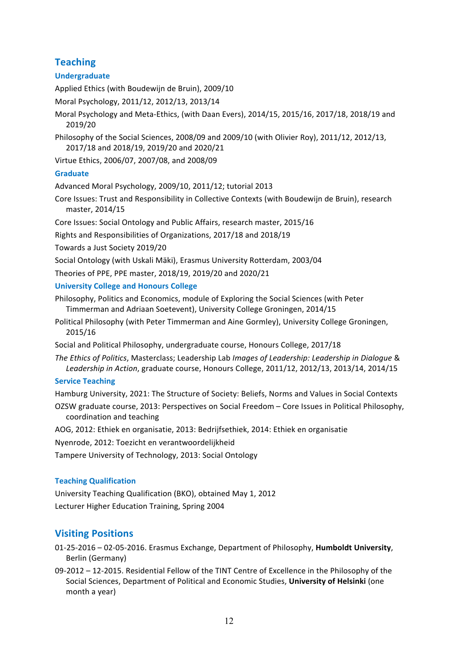# **Teaching**

## **Undergraduate**

Applied Ethics (with Boudewijn de Bruin), 2009/10

Moral Psychology, 2011/12, 2012/13, 2013/14

- Moral Psychology and Meta-Ethics, (with Daan Evers), 2014/15, 2015/16, 2017/18, 2018/19 and 2019/20
- Philosophy of the Social Sciences, 2008/09 and 2009/10 (with Olivier Roy), 2011/12, 2012/13, 2017/18 and 2018/19, 2019/20 and 2020/21

Virtue Ethics, 2006/07, 2007/08, and 2008/09

## **Graduate**

Advanced Moral Psychology, 2009/10, 2011/12; tutorial 2013

Core Issues: Trust and Responsibility in Collective Contexts (with Boudewijn de Bruin), research master, 2014/15

Core Issues: Social Ontology and Public Affairs, research master, 2015/16

Rights and Responsibilities of Organizations, 2017/18 and 2018/19

Towards a Just Society 2019/20

Social Ontology (with Uskali Mäki), Erasmus University Rotterdam, 2003/04

Theories of PPE, PPE master, 2018/19, 2019/20 and 2020/21

#### **University College and Honours College**

Philosophy, Politics and Economics, module of Exploring the Social Sciences (with Peter Timmerman and Adriaan Soetevent), University College Groningen, 2014/15

Political Philosophy (with Peter Timmerman and Aine Gormley), University College Groningen, 2015/16

Social and Political Philosophy, undergraduate course, Honours College, 2017/18

*The Ethics of Politics*, Masterclass; Leadership Lab *Images of Leadership: Leadership in Dialogue* & *Leadership in Action*, graduate course, Honours College, 2011/12, 2012/13, 2013/14, 2014/15

## **Service Teaching**

Hamburg University, 2021: The Structure of Society: Beliefs, Norms and Values in Social Contexts

OZSW graduate course, 2013: Perspectives on Social Freedom – Core Issues in Political Philosophy, coordination and teaching

AOG, 2012: Ethiek en organisatie, 2013: Bedrijfsethiek, 2014: Ethiek en organisatie

Nyenrode, 2012: Toezicht en verantwoordelijkheid

Tampere University of Technology, 2013: Social Ontology

## **Teaching Qualification**

University Teaching Qualification (BKO), obtained May 1, 2012 Lecturer Higher Education Training, Spring 2004

# **Visiting Positions**

- 01-25-2016 02-05-2016. Erasmus Exchange, Department of Philosophy, **Humboldt University**, Berlin (Germany)
- 09-2012 12-2015. Residential Fellow of the TINT Centre of Excellence in the Philosophy of the Social Sciences, Department of Political and Economic Studies, **University of Helsinki** (one month a year)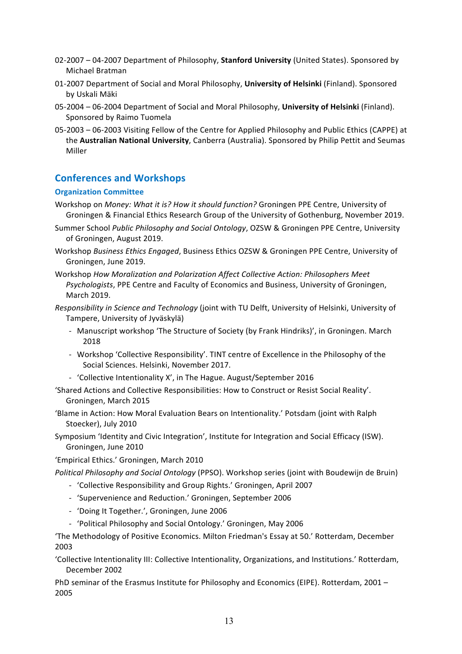- 02-2007 04-2007 Department of Philosophy, **Stanford University** (United States). Sponsored by Michael Bratman
- 01-2007 Department of Social and Moral Philosophy, **University of Helsinki** (Finland). Sponsored by Uskali Mäki
- 05-2004 06-2004 Department of Social and Moral Philosophy, **University of Helsinki** (Finland). Sponsored by Raimo Tuomela
- 05-2003 06-2003 Visiting Fellow of the Centre for Applied Philosophy and Public Ethics (CAPPE) at the **Australian National University**, Canberra (Australia). Sponsored by Philip Pettit and Seumas Miller

# **Conferences and Workshops**

## **Organization Committee**

- Workshop on *Money: What it is? How it should function?* Groningen PPE Centre, University of Groningen & Financial Ethics Research Group of the University of Gothenburg, November 2019.
- Summer School *Public Philosophy and Social Ontology*, OZSW & Groningen PPE Centre, University of Groningen, August 2019.
- Workshop *Business Ethics Engaged*, Business Ethics OZSW & Groningen PPE Centre, University of Groningen, June 2019.
- Workshop *How Moralization and Polarization Affect Collective Action: Philosophers Meet Psychologists*, PPE Centre and Faculty of Economics and Business, University of Groningen, March 2019.
- *Responsibility in Science and Technology* (joint with TU Delft, University of Helsinki, University of Tampere, University of Jyväskylä)
	- Manuscript workshop 'The Structure of Society (by Frank Hindriks)', in Groningen. March 2018
	- Workshop 'Collective Responsibility'. TINT centre of Excellence in the Philosophy of the Social Sciences. Helsinki, November 2017.
	- 'Collective Intentionality X', in The Hague. August/September 2016
- 'Shared Actions and Collective Responsibilities: How to Construct or Resist Social Reality'. Groningen, March 2015
- 'Blame in Action: How Moral Evaluation Bears on Intentionality.' Potsdam (joint with Ralph Stoecker), July 2010
- Symposium 'Identity and Civic Integration', Institute for Integration and Social Efficacy (ISW). Groningen, June 2010
- 'Empirical Ethics.' Groningen, March 2010
- *Political Philosophy and Social Ontology* (PPSO). Workshop series (joint with Boudewijn de Bruin)
	- *-* 'Collective Responsibility and Group Rights.' Groningen, April 2007
	- *-* 'Supervenience and Reduction.' Groningen, September 2006
	- *-* 'Doing It Together.', Groningen, June 2006
	- *-* 'Political Philosophy and Social Ontology.' Groningen, May 2006

'The Methodology of Positive Economics. Milton Friedman's Essay at 50.' Rotterdam, December 2003

'Collective Intentionality III: Collective Intentionality, Organizations, and Institutions.' Rotterdam, December 2002

PhD seminar of the Erasmus Institute for Philosophy and Economics (EIPE). Rotterdam, 2001 – 2005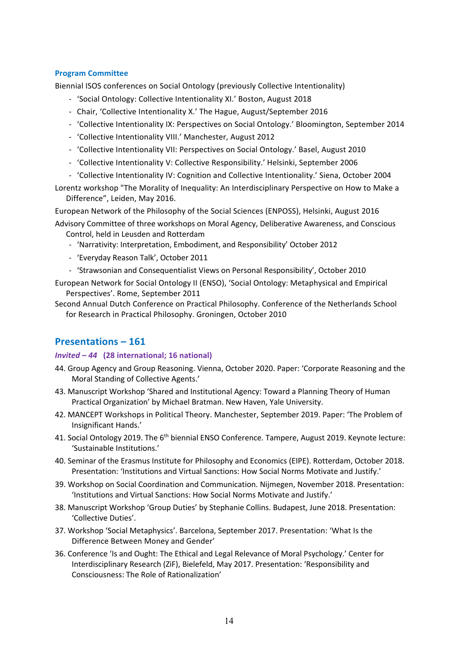### **Program Committee**

Biennial ISOS conferences on Social Ontology (previously Collective Intentionality)

- 'Social Ontology: Collective Intentionality XI.' Boston, August 2018
- Chair, 'Collective Intentionality X.' The Hague, August/September 2016
- 'Collective Intentionality IX: Perspectives on Social Ontology.' Bloomington, September 2014
- 'Collective Intentionality VIII.' Manchester, August 2012
- 'Collective Intentionality VII: Perspectives on Social Ontology.' Basel, August 2010
- 'Collective Intentionality V: Collective Responsibility.' Helsinki, September 2006
- 'Collective Intentionality IV: Cognition and Collective Intentionality.' Siena, October 2004
- Lorentz workshop "The Morality of Inequality: An Interdisciplinary Perspective on How to Make a Difference", Leiden, May 2016.

European Network of the Philosophy of the Social Sciences (ENPOSS), Helsinki, August 2016

- Advisory Committee of three workshops on Moral Agency, Deliberative Awareness, and Conscious Control, held in Leusden and Rotterdam
	- 'Narrativity: Interpretation, Embodiment, and Responsibility' October 2012
	- 'Everyday Reason Talk', October 2011
	- 'Strawsonian and Consequentialist Views on Personal Responsibility', October 2010
- European Network for Social Ontology II (ENSO), 'Social Ontology: Metaphysical and Empirical Perspectives'. Rome, September 2011
- Second Annual Dutch Conference on Practical Philosophy. Conference of the Netherlands School for Research in Practical Philosophy. Groningen, October 2010

## **Presentations – 161**

#### *Invited – 44* **(28 international; 16 national)**

- 44. Group Agency and Group Reasoning. Vienna, October 2020. Paper: 'Corporate Reasoning and the Moral Standing of Collective Agents.'
- 43. Manuscript Workshop 'Shared and Institutional Agency: Toward a Planning Theory of Human Practical Organization' by Michael Bratman. New Haven, Yale University.
- 42. MANCEPT Workshops in Political Theory. Manchester, September 2019. Paper: 'The Problem of Insignificant Hands.'
- 41. Social Ontology 2019. The 6<sup>th</sup> biennial ENSO Conference. Tampere, August 2019. Keynote lecture: 'Sustainable Institutions.'
- 40. Seminar of the Erasmus Institute for Philosophy and Economics (EIPE). Rotterdam, October 2018. Presentation: 'Institutions and Virtual Sanctions: How Social Norms Motivate and Justify.'
- 39. Workshop on Social Coordination and Communication. Nijmegen, November 2018. Presentation: 'Institutions and Virtual Sanctions: How Social Norms Motivate and Justify.'
- 38. Manuscript Workshop 'Group Duties' by Stephanie Collins. Budapest, June 2018. Presentation: 'Collective Duties'.
- 37. Workshop 'Social Metaphysics'. Barcelona, September 2017. Presentation: 'What Is the Difference Between Money and Gender'
- 36. Conference 'Is and Ought: The Ethical and Legal Relevance of Moral Psychology.' Center for Interdisciplinary Research (ZiF), Bielefeld, May 2017. Presentation: 'Responsibility and Consciousness: The Role of Rationalization'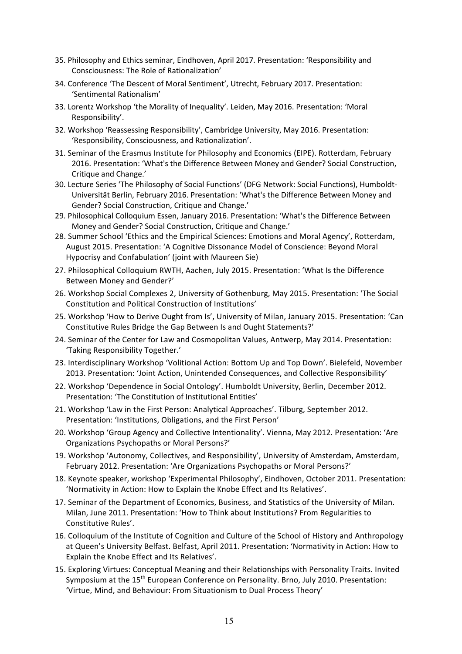- 35. Philosophy and Ethics seminar, Eindhoven, April 2017. Presentation: 'Responsibility and Consciousness: The Role of Rationalization'
- 34. Conference 'The Descent of Moral Sentiment', Utrecht, February 2017. Presentation: 'Sentimental Rationalism'
- 33. Lorentz Workshop 'the Morality of Inequality'. Leiden, May 2016. Presentation: 'Moral Responsibility'.
- 32. Workshop 'Reassessing Responsibility', Cambridge University, May 2016. Presentation: 'Responsibility, Consciousness, and Rationalization'.
- 31. Seminar of the Erasmus Institute for Philosophy and Economics (EIPE). Rotterdam, February 2016. Presentation: 'What's the Difference Between Money and Gender? Social Construction, Critique and Change.'
- 30. Lecture Series 'The Philosophy of Social Functions' (DFG Network: Social Functions), Humboldt-Universität Berlin, February 2016. Presentation: 'What's the Difference Between Money and Gender? Social Construction, Critique and Change.'
- 29. Philosophical Colloquium Essen, January 2016. Presentation: 'What's the Difference Between Money and Gender? Social Construction, Critique and Change.'
- 28. Summer School 'Ethics and the Empirical Sciences: Emotions and Moral Agency', Rotterdam, August 2015. Presentation: 'A Cognitive Dissonance Model of Conscience: Beyond Moral Hypocrisy and Confabulation' (joint with Maureen Sie)
- 27. Philosophical Colloquium RWTH, Aachen, July 2015. Presentation: 'What Is the Difference Between Money and Gender?'
- 26. Workshop Social Complexes 2, University of Gothenburg, May 2015. Presentation: 'The Social Constitution and Political Construction of Institutions'
- 25. Workshop 'How to Derive Ought from Is', University of Milan, January 2015. Presentation: 'Can Constitutive Rules Bridge the Gap Between Is and Ought Statements?'
- 24. Seminar of the Center for Law and Cosmopolitan Values, Antwerp, May 2014. Presentation: 'Taking Responsibility Together.'
- 23. Interdisciplinary Workshop 'Volitional Action: Bottom Up and Top Down'. Bielefeld, November 2013. Presentation: 'Joint Action, Unintended Consequences, and Collective Responsibility'
- 22. Workshop 'Dependence in Social Ontology'. Humboldt University, Berlin, December 2012. Presentation: 'The Constitution of Institutional Entities'
- 21. Workshop 'Law in the First Person: Analytical Approaches'. Tilburg, September 2012. Presentation: 'Institutions, Obligations, and the First Person'
- 20. Workshop 'Group Agency and Collective Intentionality'. Vienna, May 2012. Presentation: 'Are Organizations Psychopaths or Moral Persons?'
- 19. Workshop 'Autonomy, Collectives, and Responsibility', University of Amsterdam, Amsterdam, February 2012. Presentation: 'Are Organizations Psychopaths or Moral Persons?'
- 18. Keynote speaker, workshop 'Experimental Philosophy', Eindhoven, October 2011. Presentation: 'Normativity in Action: How to Explain the Knobe Effect and Its Relatives'.
- 17. Seminar of the Department of Economics, Business, and Statistics of the University of Milan. Milan, June 2011. Presentation: 'How to Think about Institutions? From Regularities to Constitutive Rules'.
- 16. Colloquium of the Institute of Cognition and Culture of the School of History and Anthropology at Queen's University Belfast. Belfast, April 2011. Presentation: 'Normativity in Action: How to Explain the Knobe Effect and Its Relatives'.
- 15. Exploring Virtues: Conceptual Meaning and their Relationships with Personality Traits. Invited Symposium at the 15<sup>th</sup> European Conference on Personality. Brno, July 2010. Presentation: 'Virtue, Mind, and Behaviour: From Situationism to Dual Process Theory'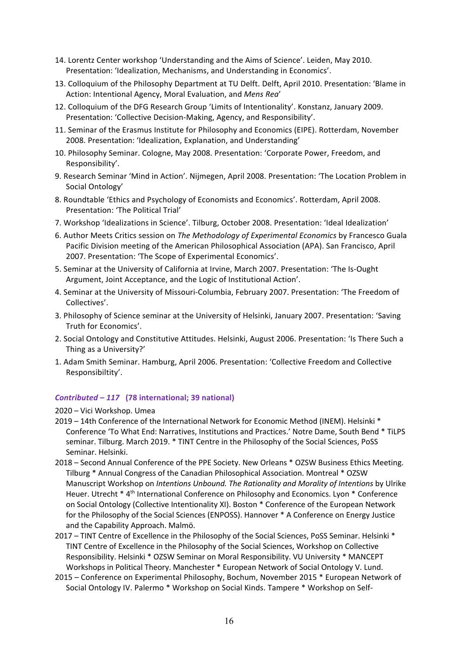- 14. Lorentz Center workshop 'Understanding and the Aims of Science'. Leiden, May 2010. Presentation: 'Idealization, Mechanisms, and Understanding in Economics'.
- 13. Colloquium of the Philosophy Department at TU Delft. Delft, April 2010. Presentation: 'Blame in Action: Intentional Agency, Moral Evaluation, and *Mens Rea*'
- 12. Colloquium of the DFG Research Group 'Limits of Intentionality'. Konstanz, January 2009. Presentation: 'Collective Decision-Making, Agency, and Responsibility'.
- 11. Seminar of the Erasmus Institute for Philosophy and Economics (EIPE). Rotterdam, November 2008. Presentation: 'Idealization, Explanation, and Understanding'
- 10. Philosophy Seminar. Cologne, May 2008. Presentation: 'Corporate Power, Freedom, and Responsibility'.
- 9. Research Seminar 'Mind in Action'. Nijmegen, April 2008. Presentation: 'The Location Problem in Social Ontology'
- 8. Roundtable 'Ethics and Psychology of Economists and Economics'. Rotterdam, April 2008. Presentation: 'The Political Trial'
- 7. Workshop 'Idealizations in Science'. Tilburg, October 2008. Presentation: 'Ideal Idealization'
- 6. Author Meets Critics session on *The Methodology of Experimental Economics* by Francesco Guala Pacific Division meeting of the American Philosophical Association (APA). San Francisco, April 2007. Presentation: 'The Scope of Experimental Economics'.
- 5. Seminar at the University of California at Irvine, March 2007. Presentation: 'The Is-Ought Argument, Joint Acceptance, and the Logic of Institutional Action'.
- 4. Seminar at the University of Missouri-Columbia, February 2007. Presentation: 'The Freedom of Collectives'.
- 3. Philosophy of Science seminar at the University of Helsinki, January 2007. Presentation: 'Saving Truth for Economics'.
- 2. Social Ontology and Constitutive Attitudes. Helsinki, August 2006. Presentation: 'Is There Such a Thing as a University?'
- 1. Adam Smith Seminar. Hamburg, April 2006. Presentation: 'Collective Freedom and Collective Responsibiltity'.

## *Contributed – 117* **(78 international; 39 national)**

#### 2020 – Vici Workshop. Umea

- 2019 14th Conference of the International Network for Economic Method (INEM). Helsinki \* Conference 'To What End: Narratives, Institutions and Practices.' Notre Dame, South Bend \* TiLPS seminar. Tilburg. March 2019. \* TINT Centre in the Philosophy of the Social Sciences, PoSS Seminar. Helsinki.
- 2018 Second Annual Conference of the PPE Society. New Orleans \* OZSW Business Ethics Meeting. Tilburg \* Annual Congress of the Canadian Philosophical Association. Montreal \* OZSW Manuscript Workshop on *Intentions Unbound. The Rationality and Morality of Intentions* by Ulrike Heuer. Utrecht \* 4<sup>th</sup> International Conference on Philosophy and Economics. Lyon \* Conference on Social Ontology (Collective Intentionality XI). Boston \* Conference of the European Network for the Philosophy of the Social Sciences (ENPOSS). Hannover \* A Conference on Energy Justice and the Capability Approach. Malmö.
- 2017 TINT Centre of Excellence in the Philosophy of the Social Sciences, PoSS Seminar. Helsinki \* TINT Centre of Excellence in the Philosophy of the Social Sciences, Workshop on Collective Responsibility. Helsinki \* OZSW Seminar on Moral Responsibility. VU University \* MANCEPT Workshops in Political Theory. Manchester \* European Network of Social Ontology V. Lund.
- 2015 Conference on Experimental Philosophy, Bochum, November 2015 \* European Network of Social Ontology IV. Palermo \* Workshop on Social Kinds. Tampere \* Workshop on Self-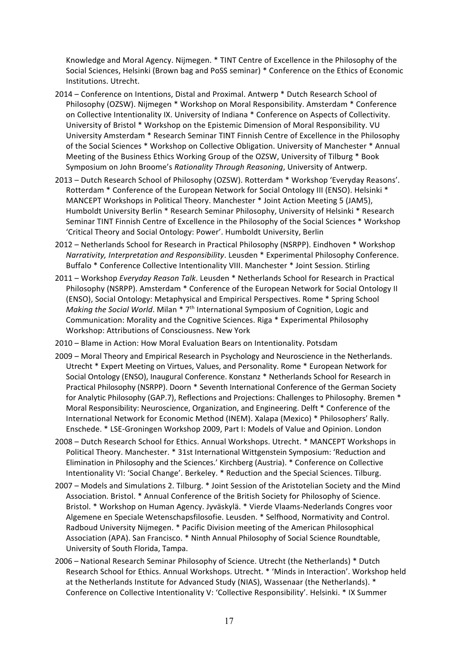Knowledge and Moral Agency. Nijmegen. \* TINT Centre of Excellence in the Philosophy of the Social Sciences, Helsinki (Brown bag and PoSS seminar) \* Conference on the Ethics of Economic Institutions. Utrecht.

- 2014 Conference on Intentions, Distal and Proximal. Antwerp \* Dutch Research School of Philosophy (OZSW). Nijmegen \* Workshop on Moral Responsibility. Amsterdam \* Conference on Collective Intentionality IX. University of Indiana \* Conference on Aspects of Collectivity. University of Bristol \* Workshop on the Epistemic Dimension of Moral Responsibility. VU University Amsterdam \* Research Seminar TINT Finnish Centre of Excellence in the Philosophy of the Social Sciences \* Workshop on Collective Obligation. University of Manchester \* Annual Meeting of the Business Ethics Working Group of the OZSW, University of Tilburg \* Book Symposium on John Broome's *Rationality Through Reasoning*, University of Antwerp.
- 2013 Dutch Research School of Philosophy (OZSW). Rotterdam \* Workshop 'Everyday Reasons'. Rotterdam \* Conference of the European Network for Social Ontology III (ENSO). Helsinki \* MANCEPT Workshops in Political Theory. Manchester \* Joint Action Meeting 5 (JAM5), Humboldt University Berlin \* Research Seminar Philosophy, University of Helsinki \* Research Seminar TINT Finnish Centre of Excellence in the Philosophy of the Social Sciences \* Workshop 'Critical Theory and Social Ontology: Power'. Humboldt University, Berlin
- 2012 Netherlands School for Research in Practical Philosophy (NSRPP). Eindhoven \* Workshop *Narrativity, Interpretation and Responsibility*. Leusden \* Experimental Philosophy Conference. Buffalo \* Conference Collective Intentionality VIII. Manchester \* Joint Session. Stirling
- 2011 Workshop *Everyday Reason Talk*. Leusden \* Netherlands School for Research in Practical Philosophy (NSRPP). Amsterdam \* Conference of the European Network for Social Ontology II (ENSO), Social Ontology: Metaphysical and Empirical Perspectives. Rome \* Spring School *Making the Social World*. Milan \* 7th International Symposium of Cognition, Logic and Communication: Morality and the Cognitive Sciences. Riga \* Experimental Philosophy Workshop: Attributions of Consciousness. New York
- 2010 Blame in Action: How Moral Evaluation Bears on Intentionality. Potsdam
- 2009 Moral Theory and Empirical Research in Psychology and Neuroscience in the Netherlands. Utrecht \* Expert Meeting on Virtues, Values, and Personality. Rome \* European Network for Social Ontology (ENSO), Inaugural Conference. Konstanz \* Netherlands School for Research in Practical Philosophy (NSRPP). Doorn \* Seventh International Conference of the German Society for Analytic Philosophy (GAP.7), Reflections and Projections: Challenges to Philosophy. Bremen \* Moral Responsibility: Neuroscience, Organization, and Engineering. Delft \* Conference of the International Network for Economic Method (INEM). Xalapa (Mexico) \* Philosophers' Rally. Enschede. \* LSE-Groningen Workshop 2009, Part I: Models of Value and Opinion. London
- 2008 Dutch Research School for Ethics. Annual Workshops. Utrecht. \* MANCEPT Workshops in Political Theory. Manchester. \* 31st International Wittgenstein Symposium: 'Reduction and Elimination in Philosophy and the Sciences.' Kirchberg (Austria). \* Conference on Collective Intentionality VI: 'Social Change'. Berkeley. \* Reduction and the Special Sciences. Tilburg.
- 2007 Models and Simulations 2. Tilburg. \* Joint Session of the Aristotelian Society and the Mind Association. Bristol. \* Annual Conference of the British Society for Philosophy of Science. Bristol. \* Workshop on Human Agency. Jyväskylä. \* Vierde Vlaams-Nederlands Congres voor Algemene en Speciale Wetenschapsfilosofie. Leusden. \* Selfhood, Normativity and Control. Radboud University Nijmegen. \* Pacific Division meeting of the American Philosophical Association (APA). San Francisco. \* Ninth Annual Philosophy of Social Science Roundtable, University of South Florida, Tampa.
- 2006 National Research Seminar Philosophy of Science. Utrecht (the Netherlands) \* Dutch Research School for Ethics. Annual Workshops. Utrecht. \* 'Minds in Interaction'. Workshop held at the Netherlands Institute for Advanced Study (NIAS), Wassenaar (the Netherlands). \* Conference on Collective Intentionality V: 'Collective Responsibility'. Helsinki. \* IX Summer